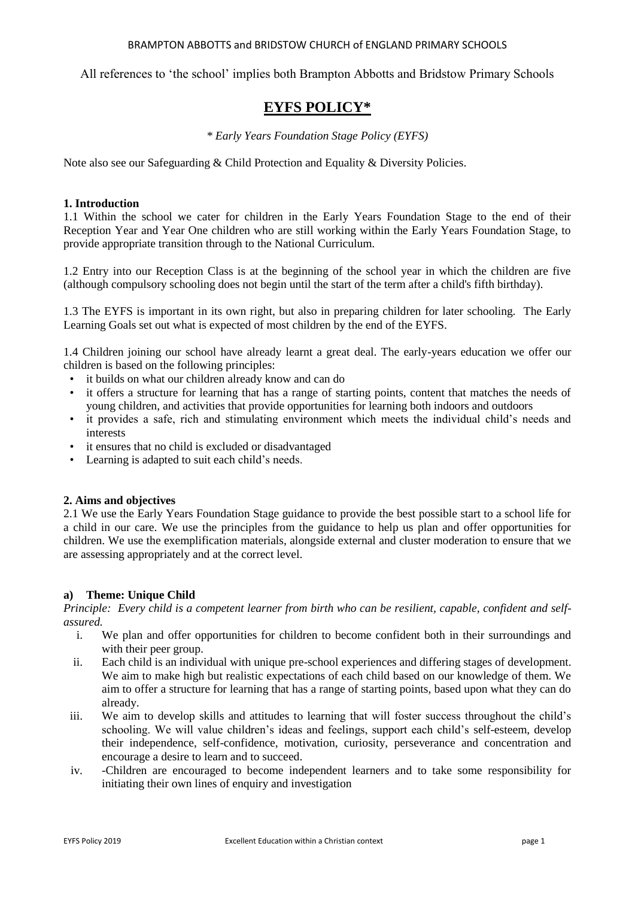### BRAMPTON ABBOTTS and BRIDSTOW CHURCH of ENGLAND PRIMARY SCHOOLS

All references to 'the school' implies both Brampton Abbotts and Bridstow Primary Schools

# **EYFS POLICY\***

# *\* Early Years Foundation Stage Policy (EYFS)*

Note also see our Safeguarding & Child Protection and Equality & Diversity Policies.

# **1. Introduction**

1.1 Within the school we cater for children in the Early Years Foundation Stage to the end of their Reception Year and Year One children who are still working within the Early Years Foundation Stage, to provide appropriate transition through to the National Curriculum.

1.2 Entry into our Reception Class is at the beginning of the school year in which the children are five (although compulsory schooling does not begin until the start of the term after a child's fifth birthday).

1.3 The EYFS is important in its own right, but also in preparing children for later schooling. The Early Learning Goals set out what is expected of most children by the end of the EYFS.

1.4 Children joining our school have already learnt a great deal. The early-years education we offer our children is based on the following principles:

- it builds on what our children already know and can do
- it offers a structure for learning that has a range of starting points, content that matches the needs of young children, and activities that provide opportunities for learning both indoors and outdoors
- it provides a safe, rich and stimulating environment which meets the individual child's needs and interests
- it ensures that no child is excluded or disadvantaged
- Learning is adapted to suit each child's needs.

# **2. Aims and objectives**

2.1 We use the Early Years Foundation Stage guidance to provide the best possible start to a school life for a child in our care. We use the principles from the guidance to help us plan and offer opportunities for children. We use the exemplification materials, alongside external and cluster moderation to ensure that we are assessing appropriately and at the correct level.

# **a) Theme: Unique Child**

*Principle: Every child is a competent learner from birth who can be resilient, capable, confident and selfassured.*

- i. We plan and offer opportunities for children to become confident both in their surroundings and with their peer group.
- ii. Each child is an individual with unique pre-school experiences and differing stages of development. We aim to make high but realistic expectations of each child based on our knowledge of them. We aim to offer a structure for learning that has a range of starting points, based upon what they can do already.
- iii. We aim to develop skills and attitudes to learning that will foster success throughout the child's schooling. We will value children's ideas and feelings, support each child's self-esteem, develop their independence, self-confidence, motivation, curiosity, perseverance and concentration and encourage a desire to learn and to succeed.
- iv. -Children are encouraged to become independent learners and to take some responsibility for initiating their own lines of enquiry and investigation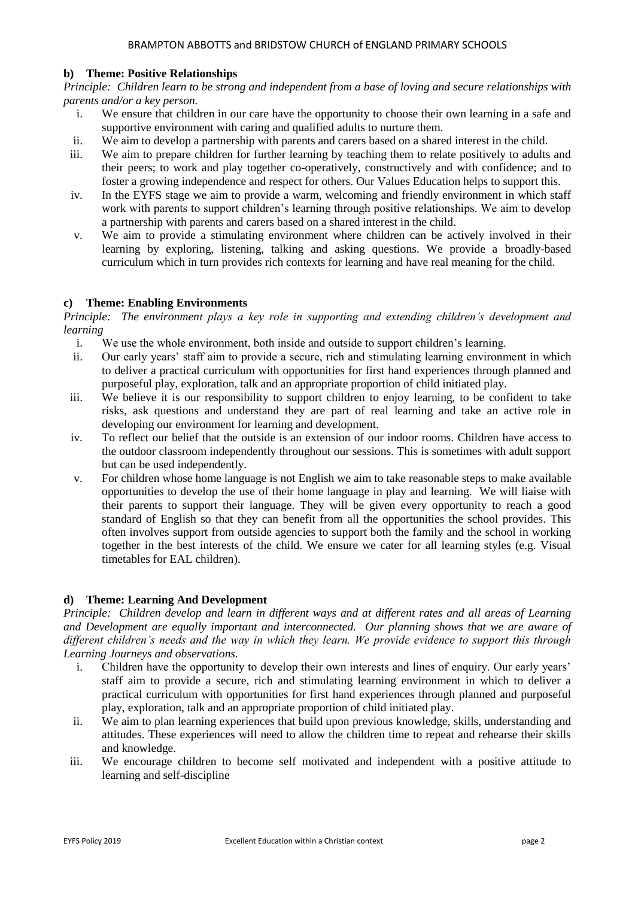# **b) Theme: Positive Relationships**

*Principle: Children learn to be strong and independent from a base of loving and secure relationships with parents and/or a key person.*

- i. We ensure that children in our care have the opportunity to choose their own learning in a safe and supportive environment with caring and qualified adults to nurture them.
- ii. We aim to develop a partnership with parents and carers based on a shared interest in the child.
- iii. We aim to prepare children for further learning by teaching them to relate positively to adults and their peers; to work and play together co-operatively, constructively and with confidence; and to foster a growing independence and respect for others. Our Values Education helps to support this.
- iv. In the EYFS stage we aim to provide a warm, welcoming and friendly environment in which staff work with parents to support children's learning through positive relationships. We aim to develop a partnership with parents and carers based on a shared interest in the child.
- v. We aim to provide a stimulating environment where children can be actively involved in their learning by exploring, listening, talking and asking questions. We provide a broadly-based curriculum which in turn provides rich contexts for learning and have real meaning for the child.

# **c) Theme: Enabling Environments**

*Principle: The environment plays a key role in supporting and extending children's development and learning*

- i. We use the whole environment, both inside and outside to support children's learning.
- ii. Our early years' staff aim to provide a secure, rich and stimulating learning environment in which to deliver a practical curriculum with opportunities for first hand experiences through planned and purposeful play, exploration, talk and an appropriate proportion of child initiated play.
- iii. We believe it is our responsibility to support children to enjoy learning, to be confident to take risks, ask questions and understand they are part of real learning and take an active role in developing our environment for learning and development.
- iv. To reflect our belief that the outside is an extension of our indoor rooms. Children have access to the outdoor classroom independently throughout our sessions. This is sometimes with adult support but can be used independently.
- v. For children whose home language is not English we aim to take reasonable steps to make available opportunities to develop the use of their home language in play and learning. We will liaise with their parents to support their language. They will be given every opportunity to reach a good standard of English so that they can benefit from all the opportunities the school provides. This often involves support from outside agencies to support both the family and the school in working together in the best interests of the child. We ensure we cater for all learning styles (e.g. Visual timetables for EAL children).

# **d) Theme: Learning And Development**

*Principle: Children develop and learn in different ways and at different rates and all areas of Learning and Development are equally important and interconnected. Our planning shows that we are aware of different children's needs and the way in which they learn. We provide evidence to support this through Learning Journeys and observations.*

- i. Children have the opportunity to develop their own interests and lines of enquiry. Our early years' staff aim to provide a secure, rich and stimulating learning environment in which to deliver a practical curriculum with opportunities for first hand experiences through planned and purposeful play, exploration, talk and an appropriate proportion of child initiated play.
- ii. We aim to plan learning experiences that build upon previous knowledge, skills, understanding and attitudes. These experiences will need to allow the children time to repeat and rehearse their skills and knowledge.
- iii. We encourage children to become self motivated and independent with a positive attitude to learning and self-discipline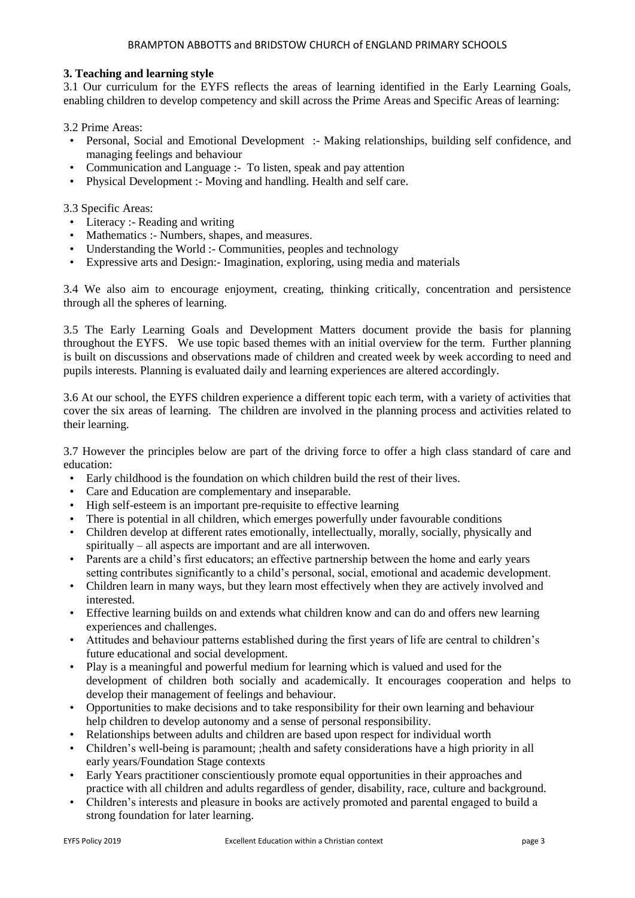# **3. Teaching and learning style**

3.1 Our curriculum for the EYFS reflects the areas of learning identified in the Early Learning Goals, enabling children to develop competency and skill across the Prime Areas and Specific Areas of learning:

3.2 Prime Areas:

- Personal, Social and Emotional Development :- Making relationships, building self confidence, and managing feelings and behaviour
- Communication and Language :- To listen, speak and pay attention
- Physical Development :- Moving and handling. Health and self care.

3.3 Specific Areas:

- Literacy :- Reading and writing
- Mathematics :- Numbers, shapes, and measures.
- Understanding the World :- Communities, peoples and technology
- Expressive arts and Design:- Imagination, exploring, using media and materials

3.4 We also aim to encourage enjoyment, creating, thinking critically, concentration and persistence through all the spheres of learning.

3.5 The Early Learning Goals and Development Matters document provide the basis for planning throughout the EYFS. We use topic based themes with an initial overview for the term. Further planning is built on discussions and observations made of children and created week by week according to need and pupils interests. Planning is evaluated daily and learning experiences are altered accordingly.

3.6 At our school, the EYFS children experience a different topic each term, with a variety of activities that cover the six areas of learning. The children are involved in the planning process and activities related to their learning.

3.7 However the principles below are part of the driving force to offer a high class standard of care and education:

- Early childhood is the foundation on which children build the rest of their lives.
- Care and Education are complementary and inseparable.
- High self-esteem is an important pre-requisite to effective learning
- There is potential in all children, which emerges powerfully under favourable conditions
- Children develop at different rates emotionally, intellectually, morally, socially, physically and spiritually – all aspects are important and are all interwoven.
- Parents are a child's first educators; an effective partnership between the home and early years setting contributes significantly to a child's personal, social, emotional and academic development.
- Children learn in many ways, but they learn most effectively when they are actively involved and interested.
- Effective learning builds on and extends what children know and can do and offers new learning experiences and challenges.
- Attitudes and behaviour patterns established during the first years of life are central to children's future educational and social development.
- Play is a meaningful and powerful medium for learning which is valued and used for the development of children both socially and academically. It encourages cooperation and helps to develop their management of feelings and behaviour.
- Opportunities to make decisions and to take responsibility for their own learning and behaviour help children to develop autonomy and a sense of personal responsibility.
- Relationships between adults and children are based upon respect for individual worth
- Children's well-being is paramount; ; health and safety considerations have a high priority in all early years/Foundation Stage contexts
- Early Years practitioner conscientiously promote equal opportunities in their approaches and practice with all children and adults regardless of gender, disability, race, culture and background.
- Children's interests and pleasure in books are actively promoted and parental engaged to build a strong foundation for later learning.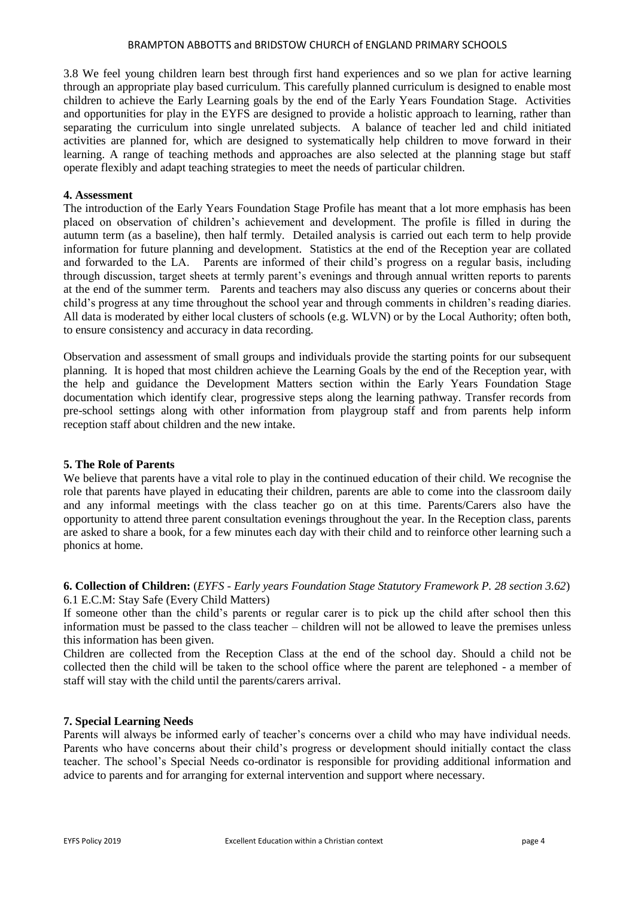#### BRAMPTON ABBOTTS and BRIDSTOW CHURCH of ENGLAND PRIMARY SCHOOLS

3.8 We feel young children learn best through first hand experiences and so we plan for active learning through an appropriate play based curriculum. This carefully planned curriculum is designed to enable most children to achieve the Early Learning goals by the end of the Early Years Foundation Stage. Activities and opportunities for play in the EYFS are designed to provide a holistic approach to learning, rather than separating the curriculum into single unrelated subjects. A balance of teacher led and child initiated activities are planned for, which are designed to systematically help children to move forward in their learning. A range of teaching methods and approaches are also selected at the planning stage but staff operate flexibly and adapt teaching strategies to meet the needs of particular children.

### **4. Assessment**

The introduction of the Early Years Foundation Stage Profile has meant that a lot more emphasis has been placed on observation of children's achievement and development. The profile is filled in during the autumn term (as a baseline), then half termly. Detailed analysis is carried out each term to help provide information for future planning and development. Statistics at the end of the Reception year are collated and forwarded to the LA. Parents are informed of their child's progress on a regular basis, including through discussion, target sheets at termly parent's evenings and through annual written reports to parents at the end of the summer term. Parents and teachers may also discuss any queries or concerns about their child's progress at any time throughout the school year and through comments in children's reading diaries. All data is moderated by either local clusters of schools (e.g. WLVN) or by the Local Authority; often both, to ensure consistency and accuracy in data recording.

Observation and assessment of small groups and individuals provide the starting points for our subsequent planning. It is hoped that most children achieve the Learning Goals by the end of the Reception year, with the help and guidance the Development Matters section within the Early Years Foundation Stage documentation which identify clear, progressive steps along the learning pathway. Transfer records from pre-school settings along with other information from playgroup staff and from parents help inform reception staff about children and the new intake.

# **5. The Role of Parents**

We believe that parents have a vital role to play in the continued education of their child. We recognise the role that parents have played in educating their children, parents are able to come into the classroom daily and any informal meetings with the class teacher go on at this time. Parents/Carers also have the opportunity to attend three parent consultation evenings throughout the year. In the Reception class, parents are asked to share a book, for a few minutes each day with their child and to reinforce other learning such a phonics at home.

**6. Collection of Children:** (*EYFS - Early years Foundation Stage Statutory Framework P. 28 section 3.62*) 6.1 E.C.M: Stay Safe (Every Child Matters)

If someone other than the child's parents or regular carer is to pick up the child after school then this information must be passed to the class teacher – children will not be allowed to leave the premises unless this information has been given.

Children are collected from the Reception Class at the end of the school day. Should a child not be collected then the child will be taken to the school office where the parent are telephoned - a member of staff will stay with the child until the parents/carers arrival.

#### **7. Special Learning Needs**

Parents will always be informed early of teacher's concerns over a child who may have individual needs. Parents who have concerns about their child's progress or development should initially contact the class teacher. The school's Special Needs co-ordinator is responsible for providing additional information and advice to parents and for arranging for external intervention and support where necessary.